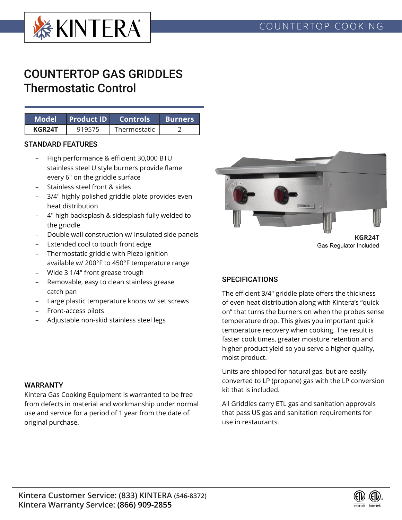

# COUNTERTOP GAS GRIDDLES Thermostatic Control

|        |        | Model Product ID Controls | <b>Burners</b> |  |
|--------|--------|---------------------------|----------------|--|
| KGR24T | 919575 | Thermostatic              |                |  |

### STANDARD FEATURES

- High performance & efficient 30,000 BTU stainless steel U style burners provide flame every 6" on the griddle surface
- Stainless steel front & sides
- 3/4" highly polished griddle plate provides even heat distribution
- 4" high backsplash & sidesplash fully welded to the griddle
- Double wall construction w/ insulated side panels
- Extended cool to touch front edge
- Thermostatic griddle with Piezo ignition available w/ 200°F to 450°F temperature range
- Wide 3 1/4" front grease trough
- Removable, easy to clean stainless grease catch pan
- Large plastic temperature knobs w/ set screws
- Front-access pilots
- Adjustable non-skid stainless steel legs



Gas Regulator Included

# **SPECIFICATIONS**

The efficient 3/4" griddle plate offers the thickness of even heat distribution along with Kintera's "quick on" that turns the burners on when the probes sense temperature drop. This gives you important quick temperature recovery when cooking. The result is faster cook times, greater moisture retention and higher product yield so you serve a higher quality, moist product.

Units are shipped for natural gas, but are easily converted to LP (propane) gas with the LP conversion kit that is included.

All Griddles carry ETL gas and sanitation approvals that pass US gas and sanitation requirements for use in restaurants.

#### WARRANTY

Kintera Gas Cooking Equipment is warranted to be free from defects in material and workmanship under normal use and service for a period of 1 year from the date of original purchase.